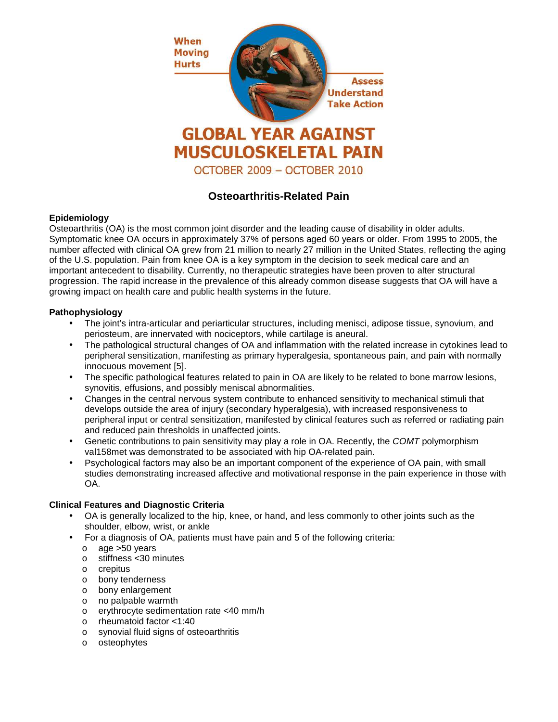

# **Osteoarthritis-Related Pain**

# **Epidemiology**

Osteoarthritis (OA) is the most common joint disorder and the leading cause of disability in older adults. Symptomatic knee OA occurs in approximately 37% of persons aged 60 years or older. From 1995 to 2005, the number affected with clinical OA grew from 21 million to nearly 27 million in the United States, reflecting the aging of the U.S. population. Pain from knee OA is a key symptom in the decision to seek medical care and an important antecedent to disability. Currently, no therapeutic strategies have been proven to alter structural progression. The rapid increase in the prevalence of this already common disease suggests that OA will have a growing impact on health care and public health systems in the future.

# **Pathophysiology**

- The joint's intra-articular and periarticular structures, including menisci, adipose tissue, synovium, and periosteum, are innervated with nociceptors, while cartilage is aneural.
- The pathological structural changes of OA and inflammation with the related increase in cytokines lead to peripheral sensitization, manifesting as primary hyperalgesia, spontaneous pain, and pain with normally innocuous movement [5].
- The specific pathological features related to pain in OA are likely to be related to bone marrow lesions, synovitis, effusions, and possibly meniscal abnormalities.
- Changes in the central nervous system contribute to enhanced sensitivity to mechanical stimuli that develops outside the area of injury (secondary hyperalgesia), with increased responsiveness to peripheral input or central sensitization, manifested by clinical features such as referred or radiating pain and reduced pain thresholds in unaffected joints.
- Genetic contributions to pain sensitivity may play a role in OA. Recently, the COMT polymorphism val158met was demonstrated to be associated with hip OA-related pain.
- Psychological factors may also be an important component of the experience of OA pain, with small studies demonstrating increased affective and motivational response in the pain experience in those with OA.

### **Clinical Features and Diagnostic Criteria**

- OA is generally localized to the hip, knee, or hand, and less commonly to other joints such as the shoulder, elbow, wrist, or ankle
- For a diagnosis of OA, patients must have pain and 5 of the following criteria:
	- o age >50 years
	- o stiffness <30 minutes
	- o crepitus
	- o bony tenderness
	- o bony enlargement
	- o no palpable warmth
	- o erythrocyte sedimentation rate <40 mm/h
	- o rheumatoid factor <1:40
	- o synovial fluid signs of osteoarthritis
	- o osteophytes